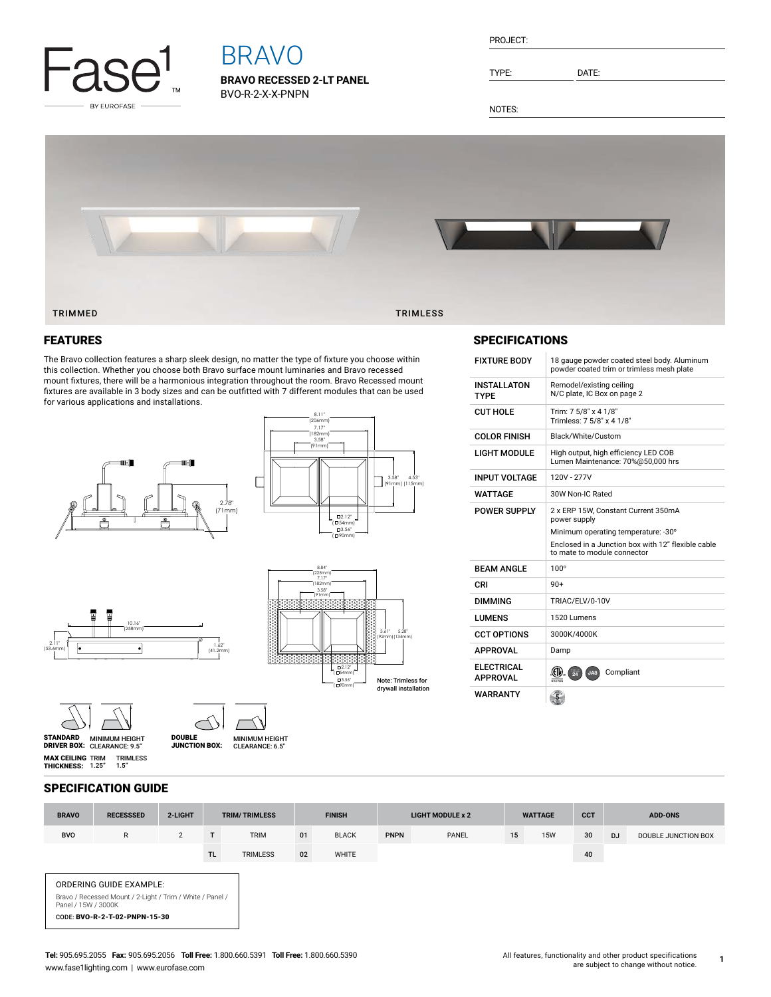

# BRAVO

**BRAVO RECESSED 2-LT PANEL** BVO-R-2-X-X-PNPN

| PROJECT: |  |
|----------|--|
|          |  |

TYPE: DATE:

NOTES:



### FEATURES

The Bravo collection features a sharp sleek design, no matter the type of fixture you choose within this collection. Whether you choose both Bravo surface mount luminaries and Bravo recessed mount fixtures, there will be a harmonious integration throughout the room. Bravo Recessed mount fixtures are available in 3 body sizes and can be outfitted with 7 different modules that can be used for various applications and installations.









8.84"



**MAX CEILING** TRIM<br>**Thickness:** 1.25" TRIMLESS 1.5"

MINIMUM HEIGHT CLEARANCE: 9.5" STANDARD DRIVER BOX: MINIMUM HEIGHT CLEARANCE: 6.5" DOUBLE JUNCTION BOX:

## FIXTURE BODY 18 gauge powder coated steel body. Aluminum SPECIFICATIONS

|                                      | powder coated trim or trimless mesh plate                                                                                                                                       |  |  |  |  |  |  |  |
|--------------------------------------|---------------------------------------------------------------------------------------------------------------------------------------------------------------------------------|--|--|--|--|--|--|--|
| <b>INSTALLATON</b><br><b>TYPF</b>    | Remodel/existing ceiling<br>N/C plate, IC Box on page 2                                                                                                                         |  |  |  |  |  |  |  |
| <b>CUT HOLE</b>                      | Trim: 7 5/8" x 4 1/8"<br>Trimless: 7 5/8" x 4 1/8"                                                                                                                              |  |  |  |  |  |  |  |
| <b>COLOR FINISH</b>                  | Black/White/Custom                                                                                                                                                              |  |  |  |  |  |  |  |
| <b>LIGHT MODULE</b>                  | High output, high efficiency LED COB<br>Lumen Maintenance: 70%@50,000 hrs                                                                                                       |  |  |  |  |  |  |  |
| <b>INPUT VOLTAGE</b>                 | 120V - 277V                                                                                                                                                                     |  |  |  |  |  |  |  |
| <b>WATTAGE</b>                       | 30W Non-IC Rated                                                                                                                                                                |  |  |  |  |  |  |  |
| <b>POWER SUPPLY</b>                  | 2 x ERP 15W, Constant Current 350mA<br>power supply<br>Minimum operating temperature: -30°<br>Enclosed in a Junction box with 12" flexible cable<br>to mate to module connector |  |  |  |  |  |  |  |
| <b>RFAM ANGLF</b>                    | $100^\circ$                                                                                                                                                                     |  |  |  |  |  |  |  |
| CRI                                  | $90+$                                                                                                                                                                           |  |  |  |  |  |  |  |
| <b>DIMMING</b>                       | TRIAC/ELV/0-10V                                                                                                                                                                 |  |  |  |  |  |  |  |
| <b>LUMENS</b>                        | 1520 Lumens                                                                                                                                                                     |  |  |  |  |  |  |  |
| <b>CCT OPTIONS</b>                   | 3000K/4000K                                                                                                                                                                     |  |  |  |  |  |  |  |
| <b>APPROVAL</b>                      | Damp                                                                                                                                                                            |  |  |  |  |  |  |  |
| <b>ELECTRICAL</b><br><b>APPROVAL</b> | Compliant<br>$\frac{1}{24}$<br>JA8                                                                                                                                              |  |  |  |  |  |  |  |
| <b>WARRANTY</b>                      |                                                                                                                                                                                 |  |  |  |  |  |  |  |

#### SPECIFICATION GUIDE

| <b>BRAVO</b>                                                                                                                                        | <b>RECESSSED</b> | 2-LIGHT        | <b>TRIM/TRIMLESS</b> |                 | <b>FINISH</b> |              | <b>LIGHT MODULE x 2</b> |       | <b>WATTAGE</b> |            | <b>CCT</b> | <b>ADD-ONS</b> |                     |
|-----------------------------------------------------------------------------------------------------------------------------------------------------|------------------|----------------|----------------------|-----------------|---------------|--------------|-------------------------|-------|----------------|------------|------------|----------------|---------------------|
| <b>BVO</b>                                                                                                                                          | $\mathsf{R}$     | $\overline{2}$ |                      | <b>TRIM</b>     | 01            | <b>BLACK</b> | <b>PNPN</b>             | PANEL | 15             | <b>15W</b> | 30         | <b>DJ</b>      | DOUBLE JUNCTION BOX |
|                                                                                                                                                     |                  |                | TL.                  | <b>TRIMLESS</b> | 02            | WHITE        |                         |       |                |            | 40         |                |                     |
| <b>ORDERING GUIDE EXAMPLE:</b><br>Bravo / Recessed Mount / 2-Light / Trim / White / Panel /<br>Panel / 15W / 3000K<br>CODE: BVO-R-2-T-02-PNPN-15-30 |                  |                |                      |                 |               |              |                         |       |                |            |            |                |                     |

**1**